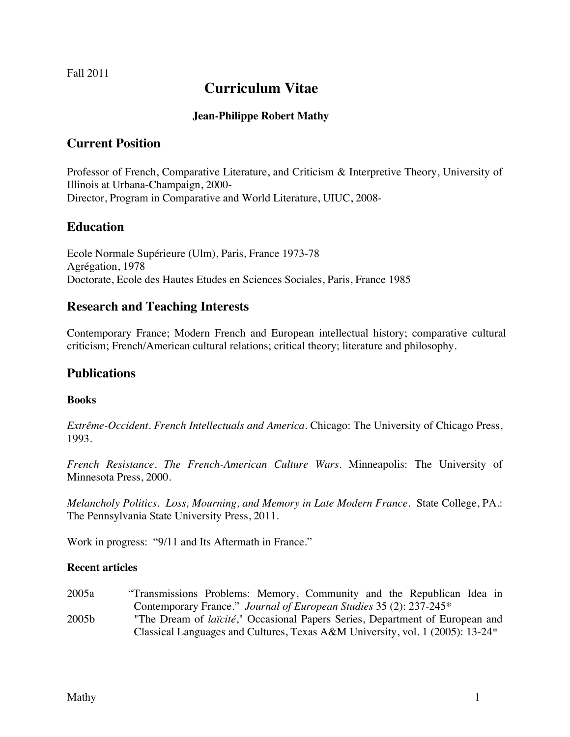Fall 2011

# **Curriculum Vitae**

#### **Jean-Philippe Robert Mathy**

## **Current Position**

Professor of French, Comparative Literature, and Criticism & Interpretive Theory, University of Illinois at Urbana-Champaign, 2000- Director, Program in Comparative and World Literature, UIUC, 2008-

## **Education**

Ecole Normale Supérieure (Ulm), Paris, France 1973-78 Agrégation, 1978 Doctorate, Ecole des Hautes Etudes en Sciences Sociales, Paris, France 1985

## **Research and Teaching Interests**

Contemporary France; Modern French and European intellectual history; comparative cultural criticism; French/American cultural relations; critical theory; literature and philosophy.

## **Publications**

#### **Books**

*Extrême-Occident. French Intellectuals and America*. Chicago: The University of Chicago Press, 1993.

*French Resistance. The French-American Culture Wars*. Minneapolis: The University of Minnesota Press, 2000.

*Melancholy Politics. Loss, Mourning, and Memory in Late Modern France.* State College, PA.: The Pennsylvania State University Press, 2011.

Work in progress: "9/11 and Its Aftermath in France."

#### **Recent articles**

2005a "Transmissions Problems: Memory, Community and the Republican Idea in Contemporary France." *Journal of European Studies* 35 (2): 237-245\* 2005b "The Dream of *laïcité*," Occasional Papers Series, Department of European and Classical Languages and Cultures, Texas A&M University, vol. 1 (2005): 13-24\*